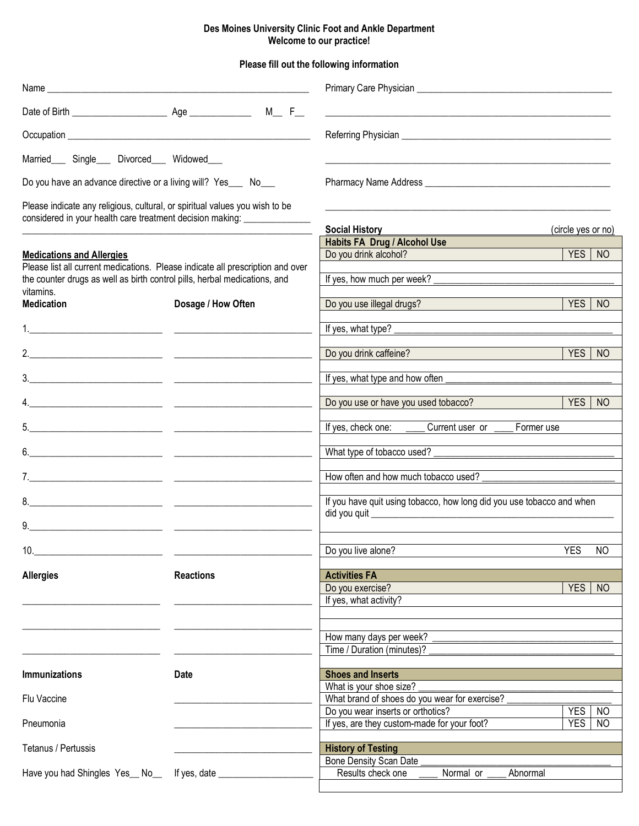## **Des Moines University Clinic Foot and Ankle Department Welcome to our practice!**

**Please fill out the following information**

|                                                                    |                                                                                                                           | <u> 1980 - John Stone, Amerikaansk politiker (</u> † 1910)               |                              |  |  |  |  |
|--------------------------------------------------------------------|---------------------------------------------------------------------------------------------------------------------------|--------------------------------------------------------------------------|------------------------------|--|--|--|--|
|                                                                    |                                                                                                                           |                                                                          |                              |  |  |  |  |
| Married___ Single___ Divorced___ Widowed___                        |                                                                                                                           |                                                                          |                              |  |  |  |  |
| Do you have an advance directive or a living will? Yes___ No___    |                                                                                                                           |                                                                          |                              |  |  |  |  |
| considered in your health care treatment decision making: ________ | Please indicate any religious, cultural, or spiritual values you wish to be                                               |                                                                          |                              |  |  |  |  |
|                                                                    |                                                                                                                           | <b>Social History</b>                                                    | (circle yes or no)           |  |  |  |  |
|                                                                    |                                                                                                                           | <b>Habits FA Drug / Alcohol Use</b>                                      |                              |  |  |  |  |
| <b>Medications and Allergies</b>                                   | Please list all current medications. Please indicate all prescription and over                                            | Do you drink alcohol?                                                    | YES  <br><b>NO</b>           |  |  |  |  |
| vitamins.                                                          | the counter drugs as well as birth control pills, herbal medications, and                                                 | If yes, how much per week?                                               |                              |  |  |  |  |
| <b>Medication</b>                                                  | Dosage / How Often                                                                                                        | Do you use illegal drugs?                                                | <b>YES</b><br><sub>NO</sub>  |  |  |  |  |
|                                                                    |                                                                                                                           | If yes, what type?                                                       |                              |  |  |  |  |
|                                                                    |                                                                                                                           | Do you drink caffeine?                                                   | <b>YES</b><br><sub>NO</sub>  |  |  |  |  |
|                                                                    |                                                                                                                           |                                                                          |                              |  |  |  |  |
|                                                                    | $\frac{3}{2}$                                                                                                             |                                                                          |                              |  |  |  |  |
|                                                                    | 4.                                                                                                                        | Do you use or have you used tobacco?                                     | <b>YES</b><br>N <sub>O</sub> |  |  |  |  |
|                                                                    | <u> 1980 - Andrea Andrewski, amerikansk politik (d. 1980)</u>                                                             | If yes, check one: _______ Current user or _____                         | Former use                   |  |  |  |  |
| 6.                                                                 | <u> 1980 - Jan James James Jan James James James James James James James James James James James James James James Ja</u> |                                                                          |                              |  |  |  |  |
|                                                                    |                                                                                                                           | How often and how much tobacco used?                                     |                              |  |  |  |  |
|                                                                    |                                                                                                                           |                                                                          |                              |  |  |  |  |
|                                                                    |                                                                                                                           | If you have quit using tobacco, how long did you use tobacco and when    |                              |  |  |  |  |
| 9. $\qquad \qquad$                                                 |                                                                                                                           |                                                                          |                              |  |  |  |  |
| 10.                                                                |                                                                                                                           | Do you live alone?                                                       | <b>YES</b><br><b>NO</b>      |  |  |  |  |
| <b>Allergies</b>                                                   | <b>Reactions</b>                                                                                                          | <b>Activities FA</b>                                                     |                              |  |  |  |  |
|                                                                    |                                                                                                                           | Do you exercise?                                                         | <b>YES</b><br>N <sub>O</sub> |  |  |  |  |
|                                                                    |                                                                                                                           | If yes, what activity?                                                   |                              |  |  |  |  |
|                                                                    |                                                                                                                           |                                                                          |                              |  |  |  |  |
|                                                                    |                                                                                                                           | How many days per week?<br>Time / Duration (minutes)?                    |                              |  |  |  |  |
|                                                                    |                                                                                                                           |                                                                          |                              |  |  |  |  |
| <b>Immunizations</b>                                               | <b>Date</b>                                                                                                               | <b>Shoes and Inserts</b>                                                 |                              |  |  |  |  |
| Flu Vaccine                                                        |                                                                                                                           | What is your shoe size?<br>What brand of shoes do you wear for exercise? |                              |  |  |  |  |
|                                                                    |                                                                                                                           | Do you wear inserts or orthotics?                                        | <b>YES</b><br>N <sub>O</sub> |  |  |  |  |
| Pneumonia                                                          |                                                                                                                           | If yes, are they custom-made for your foot?                              | <b>YES</b><br><b>NO</b>      |  |  |  |  |
| Tetanus / Pertussis                                                |                                                                                                                           | <b>History of Testing</b>                                                |                              |  |  |  |  |
|                                                                    |                                                                                                                           | <b>Bone Density Scan Date</b>                                            |                              |  |  |  |  |
| Have you had Shingles Yes_ No_                                     | If yes, date ______                                                                                                       | Results check one<br>Normal or<br>Abnormal                               |                              |  |  |  |  |